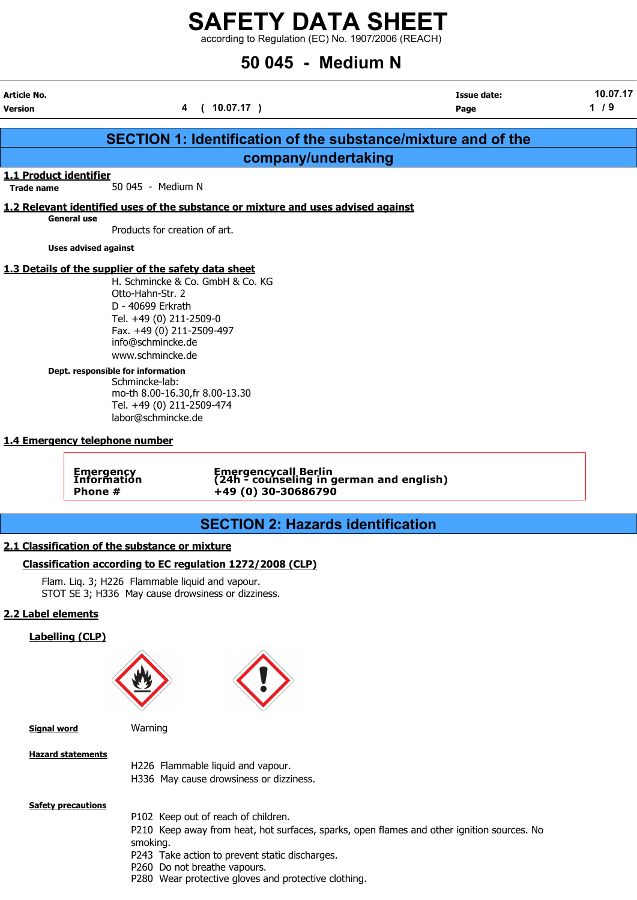$\frac{1}{2}$  according to Regulation (EC) No. 1907/2006 (REACH)

# 50 045 - Medium N

| <b>Article No.</b>     |                                                                                                                                                                                                                                                                                                                                                                                                                             |                                                                                                                             | <b>Issue date:</b>                                                   | 10.07.17 |
|------------------------|-----------------------------------------------------------------------------------------------------------------------------------------------------------------------------------------------------------------------------------------------------------------------------------------------------------------------------------------------------------------------------------------------------------------------------|-----------------------------------------------------------------------------------------------------------------------------|----------------------------------------------------------------------|----------|
| <b>Version</b>         |                                                                                                                                                                                                                                                                                                                                                                                                                             | (10.07.17)<br>4                                                                                                             | Page                                                                 | 1/9      |
|                        |                                                                                                                                                                                                                                                                                                                                                                                                                             |                                                                                                                             | <b>SECTION 1: Identification of the substance/mixture and of the</b> |          |
|                        |                                                                                                                                                                                                                                                                                                                                                                                                                             | company/undertaking                                                                                                         |                                                                      |          |
| 1.1 Product identifier |                                                                                                                                                                                                                                                                                                                                                                                                                             |                                                                                                                             |                                                                      |          |
| <b>Trade name</b>      | 50 045 - Medium N                                                                                                                                                                                                                                                                                                                                                                                                           |                                                                                                                             |                                                                      |          |
|                        |                                                                                                                                                                                                                                                                                                                                                                                                                             | 1.2 Relevant identified uses of the substance or mixture and uses advised against                                           |                                                                      |          |
|                        | <b>General use</b><br>Products for creation of art.                                                                                                                                                                                                                                                                                                                                                                         |                                                                                                                             |                                                                      |          |
|                        | <b>Uses advised against</b>                                                                                                                                                                                                                                                                                                                                                                                                 |                                                                                                                             |                                                                      |          |
|                        |                                                                                                                                                                                                                                                                                                                                                                                                                             |                                                                                                                             |                                                                      |          |
|                        | 1.3 Details of the supplier of the safety data sheet<br>Otto-Hahn-Str. 2<br>D - 40699 Erkrath<br>Tel. +49 (0) 211-2509-0<br>Fax. +49 (0) 211-2509-497<br>info@schmincke.de<br>www.schmincke.de<br>Dept. responsible for information<br>Schmincke-lab:<br>mo-th 8.00-16.30, fr 8.00-13.30<br>Tel. +49 (0) 211-2509-474<br>labor@schmincke.de<br>1.4 Emergency telephone number<br><b>Emergency</b><br>Information<br>Phone # | H. Schmincke & Co. GmbH & Co. KG<br>Emergencycall Berlin<br>(24h - counseling in german and english)<br>+49 (0) 30-30686790 |                                                                      |          |
|                        |                                                                                                                                                                                                                                                                                                                                                                                                                             | <b>SECTION 2: Hazards identification</b>                                                                                    |                                                                      |          |
|                        |                                                                                                                                                                                                                                                                                                                                                                                                                             |                                                                                                                             |                                                                      |          |
|                        | 2.1 Classification of the substance or mixture                                                                                                                                                                                                                                                                                                                                                                              |                                                                                                                             |                                                                      |          |
|                        | Flam. Liq. 3; H226 Flammable liquid and vapour.<br>STOT SE 3; H336 May cause drowsiness or dizziness.                                                                                                                                                                                                                                                                                                                       | Classification according to EC regulation 1272/2008 (CLP)                                                                   |                                                                      |          |
| 2.2 Label elements     |                                                                                                                                                                                                                                                                                                                                                                                                                             |                                                                                                                             |                                                                      |          |
|                        | <b>Labelling (CLP)</b>                                                                                                                                                                                                                                                                                                                                                                                                      |                                                                                                                             |                                                                      |          |
|                        |                                                                                                                                                                                                                                                                                                                                                                                                                             |                                                                                                                             |                                                                      |          |
| <b>Signal word</b>     | Warning                                                                                                                                                                                                                                                                                                                                                                                                                     |                                                                                                                             |                                                                      |          |

Hazard statements

H226 Flammable liquid and vapour.

H336 May cause drowsiness or dizziness.

**Safety precautions** 

- P102 Keep out of reach of children.
- P210 Keep away from heat, hot surfaces, sparks, open flames and other ignition sources. No smoking.
- P243 Take action to prevent static discharges.
- P260 Do not breathe vapours.
- P280 Wear protective gloves and protective clothing.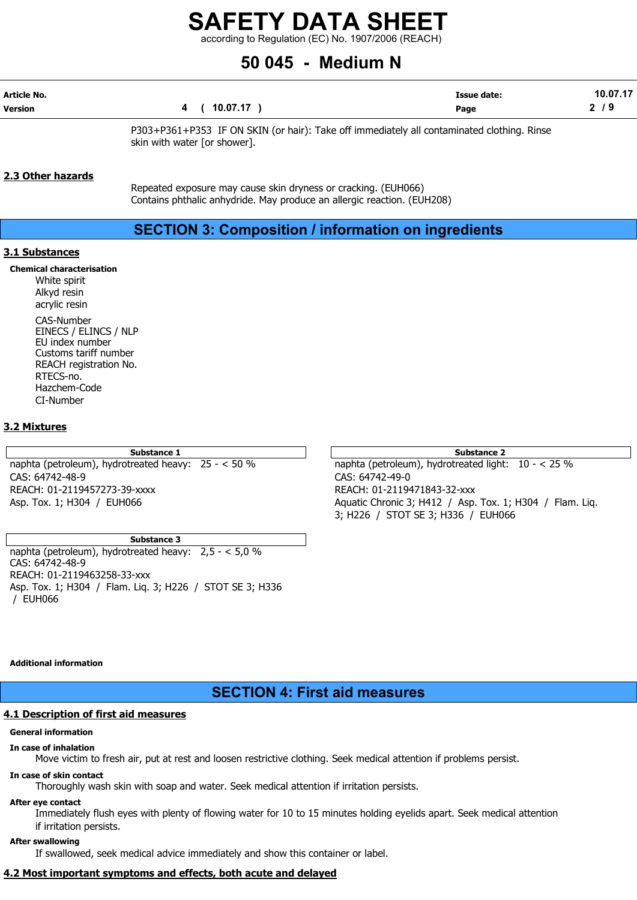according to Regulation (EC) No. 1907/2006 (REACH)

# 50 045 - Medium N

| Article No.    |              | <b>Issue date:</b> | 10.07.17 |
|----------------|--------------|--------------------|----------|
| <b>Version</b> | 4 ( 10.07.17 | Page               | 79       |

P303+P361+P353 IF ON SKIN (or hair): Take off immediately all contaminated clothing. Rinse skin with water [or shower].

## 2.3 Other hazards

Repeated exposure may cause skin dryness or cracking. (EUH066) Contains phthalic anhydride. May produce an allergic reaction. (EUH208)

# SECTION 3: Composition / information on ingredients

## 3.1 Substances

Chemical characterisation

White spirit Alkyd resin acrylic resin

CAS-Number EINECS / ELINCS / NLP EU index number Customs tariff number REACH registration No. RTECS-no. Hazchem-Code CI-Number

## 3.2 Mixtures

CAS: 64742-48-9 CAS: 64742-49-0 REACH: 01-2119457273-39-xxxx REACH: 01-2119471843-32-xxx

#### Substance 3

naphta (petroleum), hydrotreated heavy: 2,5 - < 5,0 % CAS: 64742-48-9 REACH: 01-2119463258-33-xxx Asp. Tox. 1; H304 / Flam. Liq. 3; H226 / STOT SE 3; H336 / EUH066

Substance 1 and 2 Substance 2 and 3 Substance 2 and 3 Substance 2 and 3 Substance 2 and 3 Substance 2 naphta (petroleum), hydrotreated heavy: 25 - < 50 % naphta (petroleum), hydrotreated light: 10 - < 25 % Asp. Tox. 1; H304 / EUH066 **Aquatic Chronic 3; H412 / Asp. Tox. 1; H304** / Flam. Liq. 3; H226 / STOT SE 3; H336 / EUH066

#### Additional information

# SECTION 4: First aid measures

# 4.1 Description of first aid measures

# General information

# In case of inhalation

Move victim to fresh air, put at rest and loosen restrictive clothing. Seek medical attention if problems persist.

# In case of skin contact

Thoroughly wash skin with soap and water. Seek medical attention if irritation persists.

## After eye contact

Immediately flush eyes with plenty of flowing water for 10 to 15 minutes holding eyelids apart. Seek medical attention if irritation persists.

# After swallowing

If swallowed, seek medical advice immediately and show this container or label.

# 4.2 Most important symptoms and effects, both acute and delayed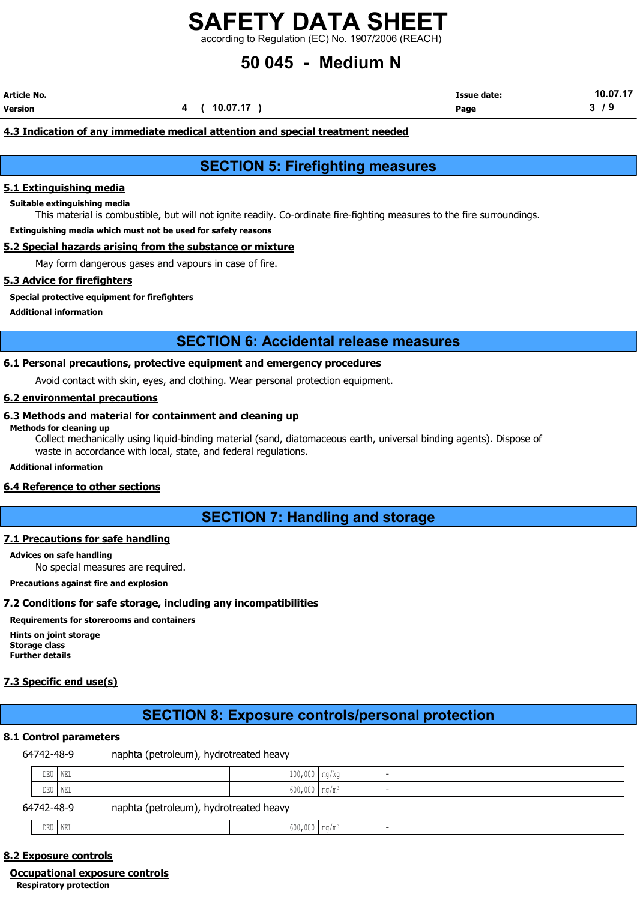according to Regulation (EC) No. 1907/2006 (REACH)

# 50 045 - Medium N

| Article No. |  |              | <b>Issue date:</b> | 10.07.17 |
|-------------|--|--------------|--------------------|----------|
| Version     |  | 4 ( 10.07.17 | Page               | , J      |

# 4.3 Indication of any immediate medical attention and special treatment needed

# SECTION 5: Firefighting measures

#### 5.1 Extinguishing media

Suitable extinguishing media

This material is combustible, but will not ignite readily. Co-ordinate fire-fighting measures to the fire surroundings.

Extinguishing media which must not be used for safety reasons

## 5.2 Special hazards arising from the substance or mixture

May form dangerous gases and vapours in case of fire.

#### 5.3 Advice for firefighters

Special protective equipment for firefighters

Additional information

# SECTION 6: Accidental release measures

#### 6.1 Personal precautions, protective equipment and emergency procedures

Avoid contact with skin, eyes, and clothing. Wear personal protection equipment.

## 6.2 environmental precautions

# 6.3 Methods and material for containment and cleaning up

Methods for cleaning up

Collect mechanically using liquid-binding material (sand, diatomaceous earth, universal binding agents). Dispose of waste in accordance with local, state, and federal regulations.

Additional information

## 6.4 Reference to other sections

# SECTION 7: Handling and storage

#### 7.1 Precautions for safe handling

Advices on safe handling

No special measures are required.

Precautions against fire and explosion

## 7.2 Conditions for safe storage, including any incompatibilities

# Requirements for storerooms and containers

Hints on joint storage Storage class Further details

## 7.3 Specific end use(s)

# SECTION 8: Exposure controls/personal protection

#### 8.1 Control parameters

64742-48-9 naphta (petroleum), hydrotreated heavy

| DEU        | T   WEL                                | $100,000$ mg/kg             |  |
|------------|----------------------------------------|-----------------------------|--|
| DEU        | ''   WEL                               | $600,000$ mg/m <sup>3</sup> |  |
| 64742-48-9 | naphta (petroleum), hydrotreated heavy |                             |  |
| DEU        | T WEL                                  | $600,000$ mg/m <sup>3</sup> |  |

#### 8.2 Exposure controls

Occupational exposure controls

Respiratory protection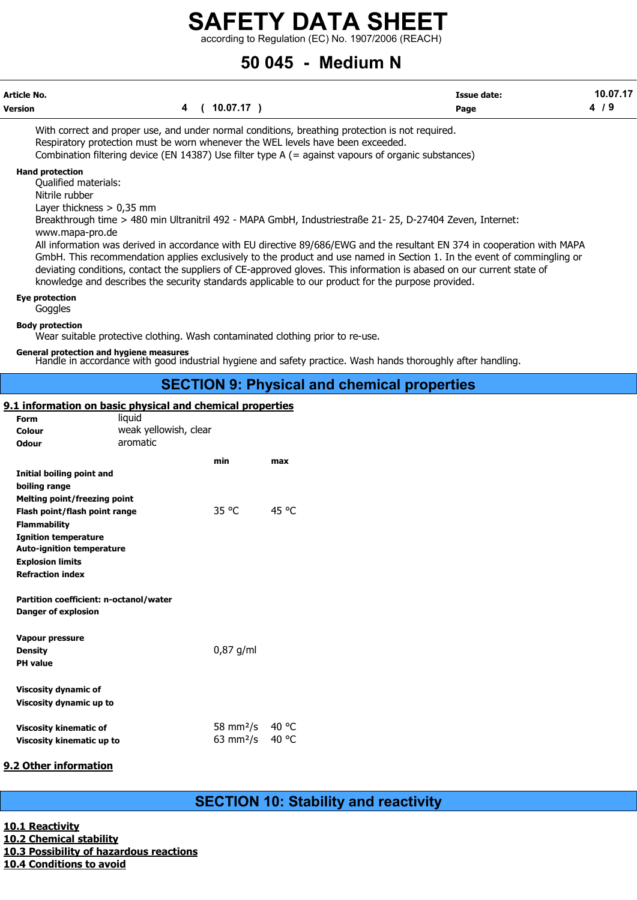according to Regulation (EC) No. 1907/2006 (REACH)

# 50 045 - Medium N

| Article No. |                        | Issue date: | <b>10 07 17</b> |
|-------------|------------------------|-------------|-----------------|
| Version     | 10 07 17<br>. <i>.</i> | Page        |                 |

With correct and proper use, and under normal conditions, breathing protection is not required. Respiratory protection must be worn whenever the WEL levels have been exceeded. Combination filtering device (EN 14387) Use filter type A (= against vapours of organic substances)

#### Hand protection

Qualified materials:

Nitrile rubber

Layer thickness > 0,35 mm

Breakthrough time > 480 min Ultranitril 492 - MAPA GmbH, Industriestraße 21- 25, D-27404 Zeven, Internet: www.mapa-pro.de

All information was derived in accordance with EU directive 89/686/EWG and the resultant EN 374 in cooperation with MAPA GmbH. This recommendation applies exclusively to the product and use named in Section 1. In the event of commingling or deviating conditions, contact the suppliers of CE-approved gloves. This information is abased on our current state of knowledge and describes the security standards applicable to our product for the purpose provided.

#### Eye protection

**Goggles** 

Body protection

Wear suitable protective clothing. Wash contaminated clothing prior to re-use.

# General protection and hygiene measures

Handle in accordance with good industrial hygiene and safety practice. Wash hands thoroughly after handling.

# SECTION 9: Physical and chemical properties

# 9.1 information on basic physical and chemical properties

| Form                                                                 | liquid                |                            |       |  |  |  |  |  |  |
|----------------------------------------------------------------------|-----------------------|----------------------------|-------|--|--|--|--|--|--|
| Colour                                                               | weak yellowish, clear |                            |       |  |  |  |  |  |  |
| Odour                                                                | aromatic              |                            |       |  |  |  |  |  |  |
|                                                                      |                       | min                        | max   |  |  |  |  |  |  |
| Initial boiling point and                                            |                       |                            |       |  |  |  |  |  |  |
| boiling range                                                        |                       |                            |       |  |  |  |  |  |  |
|                                                                      |                       |                            |       |  |  |  |  |  |  |
| Melting point/freezing point                                         |                       | 35 °C                      | 45 °C |  |  |  |  |  |  |
| Flash point/flash point range                                        |                       |                            |       |  |  |  |  |  |  |
| <b>Flammability</b>                                                  |                       |                            |       |  |  |  |  |  |  |
| <b>Ignition temperature</b>                                          |                       |                            |       |  |  |  |  |  |  |
| <b>Auto-ignition temperature</b>                                     |                       |                            |       |  |  |  |  |  |  |
| <b>Explosion limits</b>                                              |                       |                            |       |  |  |  |  |  |  |
| <b>Refraction index</b>                                              |                       |                            |       |  |  |  |  |  |  |
| Partition coefficient: n-octanol/water<br><b>Danger of explosion</b> |                       |                            |       |  |  |  |  |  |  |
| <b>Vapour pressure</b>                                               |                       |                            |       |  |  |  |  |  |  |
| <b>Density</b>                                                       |                       | $0.87$ g/ml                |       |  |  |  |  |  |  |
| <b>PH</b> value                                                      |                       |                            |       |  |  |  |  |  |  |
|                                                                      |                       |                            |       |  |  |  |  |  |  |
| <b>Viscosity dynamic of</b>                                          |                       |                            |       |  |  |  |  |  |  |
|                                                                      |                       |                            |       |  |  |  |  |  |  |
| Viscosity dynamic up to                                              |                       |                            |       |  |  |  |  |  |  |
|                                                                      |                       |                            | 40 °C |  |  |  |  |  |  |
| <b>Viscosity kinematic of</b>                                        |                       | 58 mm <sup>2</sup> /s      |       |  |  |  |  |  |  |
| Viscosity kinematic up to                                            |                       | $63 \text{ mm}^2/\text{s}$ | 40 °C |  |  |  |  |  |  |
|                                                                      |                       |                            |       |  |  |  |  |  |  |

# 9.2 Other information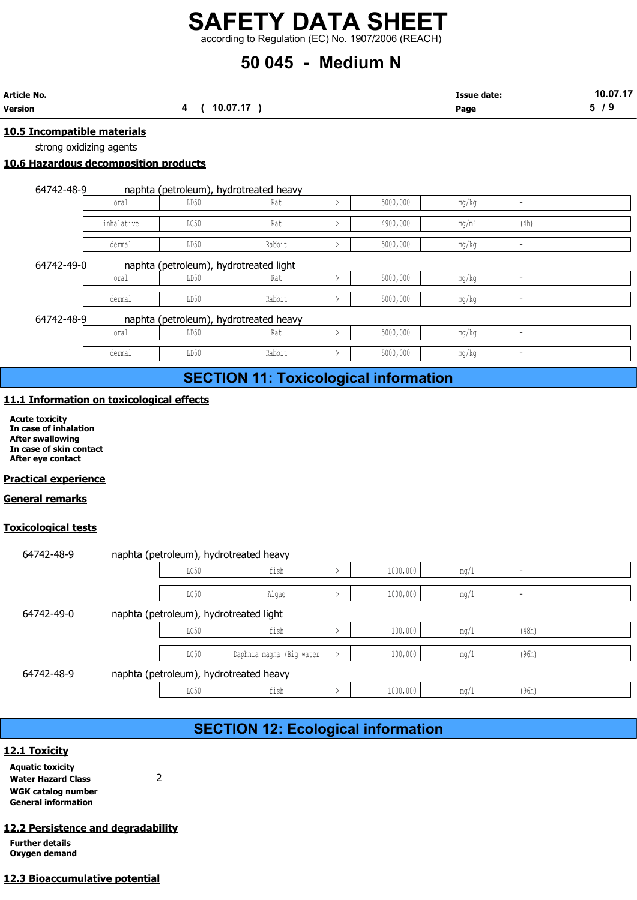# 50 045 - Medium N

| Article No.                 | 10.07.17 |  | Issue date: | 10.07.17 |
|-----------------------------|----------|--|-------------|----------|
| Version                     |          |  | Page        | 5/9      |
| 10.5 Incompatible materials |          |  |             |          |

strong oxidizing agents

# 10.6 Hazardous decomposition products

| naphta (petroleum), hydrotreated heavy | 64742-48-9 |  |  |  |
|----------------------------------------|------------|--|--|--|
|----------------------------------------|------------|--|--|--|

|                         |                                                          |                                        | 50 045 - Medium N                             |               | according to Regulation (EC) No. 1907/2006 (REACH) |                            |        |                 |
|-------------------------|----------------------------------------------------------|----------------------------------------|-----------------------------------------------|---------------|----------------------------------------------------|----------------------------|--------|-----------------|
| ٧o.                     |                                                          | 4 ( 10.07.17 )                         |                                               |               |                                                    | <b>Issue date:</b><br>Page |        | 10.07.17<br>5/9 |
| strong oxidizing agents | ncompatible materials<br>azardous decomposition products |                                        |                                               |               |                                                    |                            |        |                 |
| 64742-48-9              | oral                                                     | LD50                                   | naphta (petroleum), hydrotreated heavy<br>Rat | $\rightarrow$ | 5000,000                                           |                            |        |                 |
|                         | inhalative                                               | LC50                                   | Rat                                           | $\,>\,$       | 4900,000                                           | mg/kg<br>$mg/m^3$          | (4h)   |                 |
|                         | dermal                                                   | LD50                                   | Rabbit                                        | $\rightarrow$ | 5000,000                                           | mg/kg                      |        |                 |
| 64742-49-0              |                                                          | naphta (petroleum), hydrotreated light |                                               |               |                                                    |                            |        |                 |
|                         | oral                                                     | LD50                                   | Rat                                           | $\,>\,$       | 5000,000                                           | mg/kg                      |        |                 |
|                         | dermal                                                   | LD50                                   | Rabbit                                        | $\rightarrow$ | 5000,000                                           | mg/kg                      | $\sim$ |                 |
| 64742-48-9              |                                                          |                                        | naphta (petroleum), hydrotreated heavy        |               |                                                    |                            |        |                 |
|                         | oral                                                     | LD50                                   | Rat                                           | $\rightarrow$ | 5000,000                                           | mg/kg                      |        |                 |
|                         | dermal                                                   | LD50                                   | Rabbit                                        | $\rightarrow$ | 5000,000                                           | mg/kg                      |        |                 |
|                         |                                                          |                                        | <b>SECTION 11: Toxicological information</b>  |               |                                                    |                            |        |                 |
|                         |                                                          | nformation on toxicological effects    |                                               |               |                                                    |                            |        |                 |

# 64742-48-9 naphta (petroleum), hydrotreated heavy

| oral   | T <sub>D</sub><br>∪רחת | Rat         | 5000,000 | mg/kg |  |
|--------|------------------------|-------------|----------|-------|--|
| dermal | LD50                   | Rabbit<br>. | 5000,000 | mg/kg |  |

# SECTION 11: Toxicological information

# 11.1 Information on toxicological effects

## Practical experience

## General remarks

## Toxicological tests

| 64742-48-9                                                                                                                |                                          |                                        | naphta (petroleum), hydrotreated heavy       |               |          |       |       |  |
|---------------------------------------------------------------------------------------------------------------------------|------------------------------------------|----------------------------------------|----------------------------------------------|---------------|----------|-------|-------|--|
|                                                                                                                           | oral                                     | LD50                                   | Rat                                          | $\rightarrow$ | 5000,000 | mg/kg |       |  |
|                                                                                                                           | dermal                                   | LD50                                   | Rabbit                                       | $\rightarrow$ | 5000,000 | mg/kg |       |  |
|                                                                                                                           |                                          |                                        | <b>SECTION 11: Toxicological information</b> |               |          |       |       |  |
|                                                                                                                           | 1.1 Information on toxicological effects |                                        |                                              |               |          |       |       |  |
| <b>Acute toxicity</b><br>In case of inhalation<br><b>After swallowing</b><br>In case of skin contact<br>After eye contact |                                          |                                        |                                              |               |          |       |       |  |
| <b>Practical experience</b>                                                                                               |                                          |                                        |                                              |               |          |       |       |  |
| <b>General remarks</b>                                                                                                    |                                          |                                        |                                              |               |          |       |       |  |
| <b>Coxicological tests</b>                                                                                                |                                          |                                        |                                              |               |          |       |       |  |
|                                                                                                                           |                                          |                                        |                                              |               |          |       |       |  |
| 64742-48-9                                                                                                                |                                          |                                        | naphta (petroleum), hydrotreated heavy       |               |          |       |       |  |
|                                                                                                                           |                                          | LC50                                   | fish                                         | $\rightarrow$ | 1000,000 | mg/1  |       |  |
|                                                                                                                           |                                          | LC50                                   | Algae                                        | $\rightarrow$ | 1000,000 | mg/1  |       |  |
| 64742-49-0                                                                                                                |                                          | naphta (petroleum), hydrotreated light |                                              |               |          |       |       |  |
|                                                                                                                           |                                          | LC50                                   | fish                                         | $\rightarrow$ | 100,000  | mg/1  | (48h) |  |
|                                                                                                                           |                                          | LC50                                   | Daphnia magna (Big water                     |               | 100,000  | mg/1  | (96h) |  |
| 64742-48-9                                                                                                                |                                          |                                        | naphta (petroleum), hydrotreated heavy       |               |          |       |       |  |
|                                                                                                                           |                                          | LC50                                   | fish                                         | $\,>\,$       | 1000,000 | mg/1  | (96h) |  |
|                                                                                                                           |                                          |                                        |                                              |               |          |       |       |  |
|                                                                                                                           |                                          |                                        | <b>SECTION 12: Ecological information</b>    |               |          |       |       |  |
| <u> 12.1 Toxicity</u>                                                                                                     |                                          |                                        |                                              |               |          |       |       |  |
| <b>Aquatic toxicity</b><br><b>Water Hazard Class</b>                                                                      | $\overline{2}$                           |                                        |                                              |               |          |       |       |  |

# SECTION 12: Ecological information

12.1 Toxicity

Aquatic toxicity water Hazard Class 2 WGK catalog number General information

## 12.2 Persistence and degradability

Further details Oxygen demand

# 12.3 Bioaccumulative potential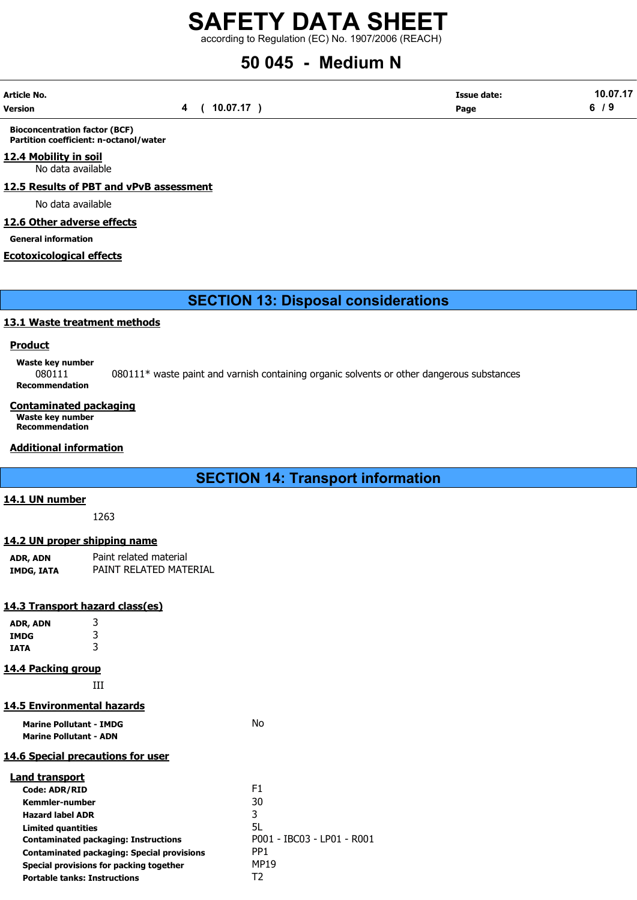according to Regulation (EC) No. 1907/2006 (REACH)

# 50 045 - Medium N

| Article No. |          | <b>Issue date:</b> | 10.07.17 |
|-------------|----------|--------------------|----------|
| Version     | 10.07.17 | Page               | 6<br>. J |

Bioconcentration factor (BCF) Partition coefficient: n-octanol/water

# 12.4 Mobility in soil

No data available

12.5 Results of PBT and vPvB assessment

No data available

# 12.6 Other adverse effects

General information

#### Ecotoxicological effects

SECTION 13: Disposal considerations

# 13.1 Waste treatment methods

## **Product**

Waste key number

080111 080111\* waste paint and varnish containing organic solvents or other dangerous substances Recommendation

#### Contaminated packaging Waste key number Recommendation

# Additional information

# SECTION 14: Transport information

# 14.1 UN number

1263

# 14.2 UN proper shipping name

| ADR, ADN   | Paint related material |
|------------|------------------------|
| IMDG, IATA | PAINT RELATED MATERIAL |

## 14.3 Transport hazard class(es)

| ADR, ADN    | 3                                                 |                            |
|-------------|---------------------------------------------------|----------------------------|
| <b>IMDG</b> | 3                                                 |                            |
| <b>IATA</b> | 3                                                 |                            |
|             | <b>14.4 Packing group</b>                         |                            |
|             | ĦТ                                                |                            |
|             | <b>14.5 Environmental hazards</b>                 |                            |
|             | <b>Marine Pollutant - IMDG</b>                    | No.                        |
|             | <b>Marine Pollutant - ADN</b>                     |                            |
|             | 14.6 Special precautions for user                 |                            |
|             | <b>Land transport</b>                             |                            |
|             | <b>Code: ADR/RID</b>                              | F1.                        |
|             | <b>Kemmler-number</b>                             | 30                         |
|             | <b>Hazard label ADR</b>                           | 3                          |
|             | <b>Limited quantities</b>                         | 5L                         |
|             | <b>Contaminated packaging: Instructions</b>       | P001 - IBC03 - LP01 - R001 |
|             | <b>Contaminated packaging: Special provisions</b> | PP <sub>1</sub>            |
|             | Special provisions for packing together           | MP19                       |
|             | <b>Portable tanks: Instructions</b>               | T2                         |
|             |                                                   |                            |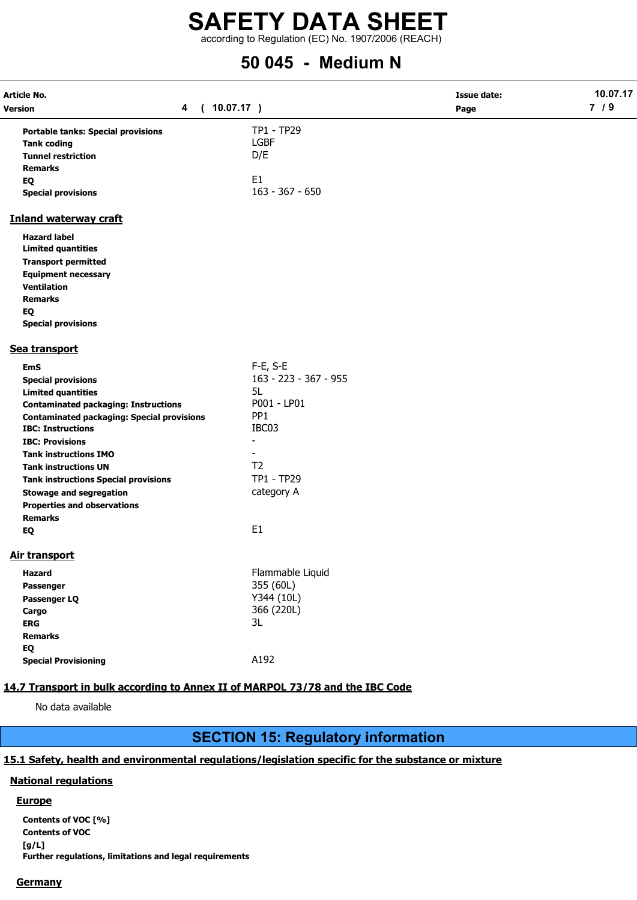# SAFETY DATA SHEET according to Regulation (EC) No. 1907/2006 (REACH)

# 50 045 - Medium N

| Article No.                                                                   |                              | <b>Issue date:</b> | 10.07.17<br>7/9 |
|-------------------------------------------------------------------------------|------------------------------|--------------------|-----------------|
| 4<br><b>Version</b><br>$\sqrt{2}$                                             | 10.07.17)                    | Page               |                 |
| <b>Portable tanks: Special provisions</b>                                     | TP1 - TP29                   |                    |                 |
| <b>Tank coding</b>                                                            | <b>LGBF</b>                  |                    |                 |
| <b>Tunnel restriction</b>                                                     | D/E                          |                    |                 |
| <b>Remarks</b>                                                                |                              |                    |                 |
| EQ                                                                            | E <sub>1</sub>               |                    |                 |
| <b>Special provisions</b>                                                     | $163 - 367 - 650$            |                    |                 |
| <b>Inland waterway craft</b>                                                  |                              |                    |                 |
| <b>Hazard label</b>                                                           |                              |                    |                 |
| <b>Limited quantities</b>                                                     |                              |                    |                 |
| <b>Transport permitted</b>                                                    |                              |                    |                 |
| <b>Equipment necessary</b>                                                    |                              |                    |                 |
| <b>Ventilation</b>                                                            |                              |                    |                 |
| <b>Remarks</b>                                                                |                              |                    |                 |
| EQ                                                                            |                              |                    |                 |
| <b>Special provisions</b>                                                     |                              |                    |                 |
| Sea transport                                                                 |                              |                    |                 |
| <b>EmS</b>                                                                    | $F-E$ , S-E                  |                    |                 |
| <b>Special provisions</b>                                                     | 163 - 223 - 367 - 955        |                    |                 |
| <b>Limited quantities</b>                                                     | 5L                           |                    |                 |
| <b>Contaminated packaging: Instructions</b>                                   | P001 - LP01                  |                    |                 |
| <b>Contaminated packaging: Special provisions</b>                             | PP <sub>1</sub>              |                    |                 |
| <b>IBC: Instructions</b>                                                      | IBC03                        |                    |                 |
| <b>IBC: Provisions</b>                                                        | $\qquad \qquad \blacksquare$ |                    |                 |
| <b>Tank instructions IMO</b>                                                  |                              |                    |                 |
| <b>Tank instructions UN</b>                                                   | T <sub>2</sub>               |                    |                 |
| <b>Tank instructions Special provisions</b>                                   | TP1 - TP29                   |                    |                 |
| <b>Stowage and segregation</b>                                                | category A                   |                    |                 |
| <b>Properties and observations</b>                                            |                              |                    |                 |
| <b>Remarks</b>                                                                |                              |                    |                 |
| EQ                                                                            | E <sub>1</sub>               |                    |                 |
| Air transport                                                                 |                              |                    |                 |
| <b>Hazard</b>                                                                 | Flammable Liquid             |                    |                 |
| Passenger                                                                     | 355 (60L)                    |                    |                 |
| Passenger LQ                                                                  | Y344 (10L)                   |                    |                 |
| Cargo                                                                         | 366 (220L)                   |                    |                 |
| <b>ERG</b>                                                                    | 3L                           |                    |                 |
| <b>Remarks</b>                                                                |                              |                    |                 |
| EQ                                                                            |                              |                    |                 |
| <b>Special Provisioning</b>                                                   | A192                         |                    |                 |
|                                                                               |                              |                    |                 |
| 14.7 Transport in bulk according to Annex II of MARPOL 73/78 and the IBC Code |                              |                    |                 |
| No data available                                                             |                              |                    |                 |

# SECTION 15: Regulatory information

# 15.1 Safety, health and environmental regulations/legislation specific for the substance or mixture

# National regulations

# **Europe**

Contents of VOC [%] Contents of VOC [g/L] Further regulations, limitations and legal requirements

# **Germany**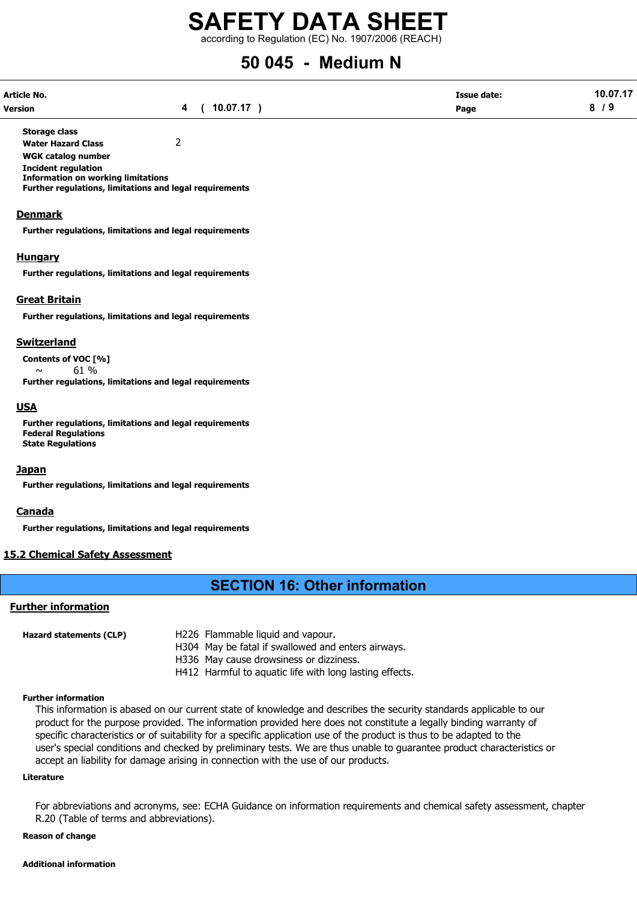according to Regulation (EC) No. 1907/2006 (REACH)

# 50 045 - Medium N

| Article No.    |                | <b>Issue date:</b> | 10.07.17 |
|----------------|----------------|--------------------|----------|
| <b>Version</b> | 4 ( 10.07.17 ) | Page               | 79       |

Storage class Water Hazard Class 2

WGK catalog number

Incident regulation

Information on working limitations

Further regulations, limitations and legal requirements

#### **Denmark**

Further regulations, limitations and legal requirements

#### **Hungary**

Further regulations, limitations and legal requirements

#### Great Britain

Further regulations, limitations and legal requirements

#### Switzerland

Contents of VOC [%]

 $\sim$  61 % Further regulations, limitations and legal requirements

#### USA

Further regulations, limitations and legal requirements Federal Regulations State Regulations

#### Japan

Further regulations, limitations and legal requirements

## Canada

Further regulations, limitations and legal requirements

## 15.2 Chemical Safety Assessment

# SECTION 16: Other information

#### Further information

| Hazard statements (CLP) | H226 Flammable liquid and vapour.                       |
|-------------------------|---------------------------------------------------------|
|                         | H304 May be fatal if swallowed and enters airways.      |
|                         | H336 May cause drowsiness or dizziness.                 |
|                         | H412 Harmful to aquatic life with long lasting effects. |

#### Further information

This information is abased on our current state of knowledge and describes the security standards applicable to our product for the purpose provided. The information provided here does not constitute a legally binding warranty of specific characteristics or of suitability for a specific application use of the product is thus to be adapted to the user's special conditions and checked by preliminary tests. We are thus unable to guarantee product characteristics or accept an liability for damage arising in connection with the use of our products.

#### Literature

For abbreviations and acronyms, see: ECHA Guidance on information requirements and chemical safety assessment, chapter R.20 (Table of terms and abbreviations).

#### Reason of change